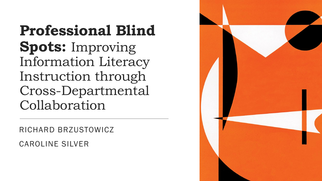**Professional Blind Spots:** Improving Information Literacy Instruction through Cross-Departmental Collaboration

RICHARD BRZUSTOWICZ

CAROLINE SILVER

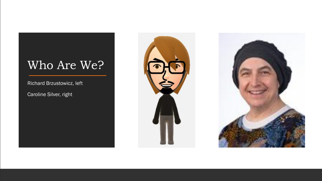### Who Are We?

Richard Brzustowicz, left

Caroline Silver, right



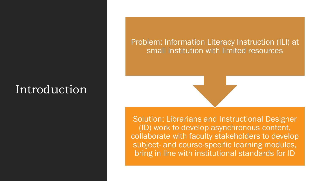## **Introduction**

Problem: Information Literacy Instruction (ILI) at small institution with limited resources

Solution: Librarians and Instructional Designer (ID) work to develop asynchronous content, collaborate with faculty stakeholders to develop subject- and course-specific learning modules, bring in line with institutional standards for ID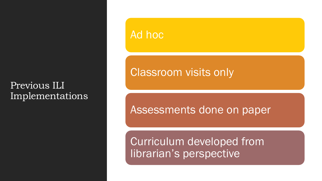#### Previous ILI Implementations

### Ad hoc

### Classroom visits only

### Assessments done on paper

Curriculum developed from librarian's perspective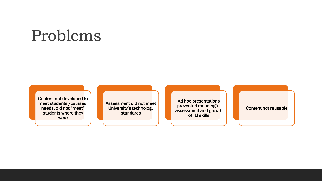## Problems

Content not developed to meet students'/courses' needs, did not "meet" students where they were

Assessment did not meet University's technology standards

Ad hoc presentations prevented meaningful assessment and growth of ILI skills

Content not reusable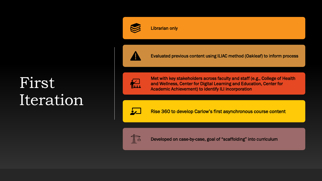## First Iteration



Evaluated previous content using ILIAC method (Oakleaf) to inform process



Met with key stakeholders across faculty and staff (e.g., College of Health and Wellness, Center for Digital Learning and Education, Center for Academic Achievement) to identify ILI incorporation



Rise 360 to develop Carlow's first asynchronous course content



Developed on case-by-case, goal of "scaffolding" into curriculum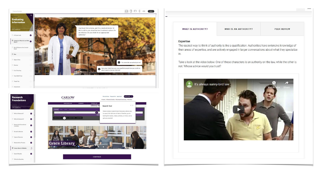



**WHAT IS AUTHORITY?** 

WHO IS AN AUTHORITY?

**PEER REVIEW** 

#### **Expertise**

The easiest way to think of authority is like a qualification. Authorities have extensive knowledge of their areas of expertise, and are actively engaged in larger conversations about what they specialize in.

Take a look at the video below. One of these characters is an authority on the law, while the other is not. Whose advice would you trust?

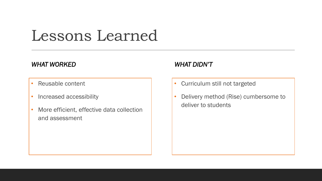## Lessons Learned

#### *WHAT WORKED*

- Reusable content
- Increased accessibility
- More efficient, effective data collection and assessment

#### *WHAT DIDN'T*

- Curriculum still not targeted
- Delivery method (Rise) cumbersome to deliver to students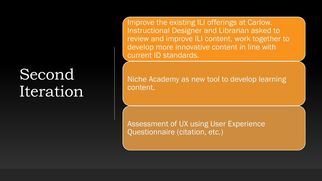## Second Iteration

Improve the existing ILI offerings at Carlow. Instructional Designer and Librarian asked to review and improve ILI content, work together to develop more innovative content in line with current ID standards.

Niche Academy as new tool to develop learning content.

Assessment of UX using User Experience Questionnaire (citation, etc.)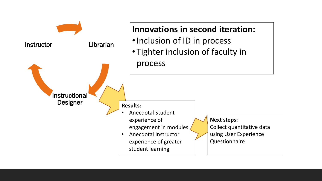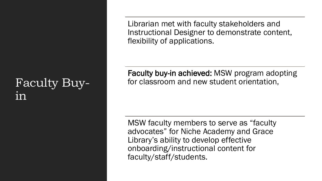### Faculty Buy- $1n$

Librarian met with faculty stakeholders and Instructional Designer to demonstrate content, flexibility of applications.

Faculty buy-in achieved: MSW program adopting for classroom and new student orientation,

MSW faculty members to serve as "faculty advocates" for Niche Academy and Grace Library's ability to develop effective onboarding/instructional content for faculty/staff/students.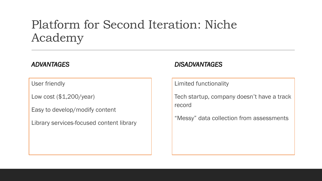### Platform for Second Iteration: Niche Academy

#### *ADVANTAGES*

User friendly

Low cost (\$1,200/year)

Easy to develop/modify content

Library services-focused content library

#### *DISADVANTAGES*

Limited functionality

Tech startup, company doesn't have a track record

"Messy" data collection from assessments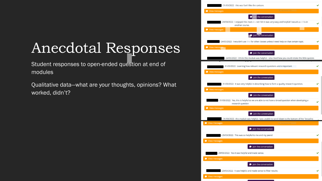## Anecdotal Responses

Student responses to open-ended question at end of modules

Qualitative data—what are your thoughts, opinions? What worked, didn't?

| - 31/03/2022: this was fun! I like the cartoon.                                                                       |         |
|-----------------------------------------------------------------------------------------------------------------------|---------|
| $\bullet$ Rectangular Snip<br><sup>9</sup> View messages                                                              |         |
| Join the conversation                                                                                                 |         |
| - 24/03/2022:  I enjoyed this module and I felt it was very easy and helpful! I would use this in<br>another course.  |         |
| View messages                                                                                                         |         |
| Join the conversation                                                                                                 |         |
| - 24/03/2022: I wouldn't use this for other classes unless I need help on that certain topic.                         |         |
| <b>Wiew messages</b>                                                                                                  |         |
| <b>D</b> Join the conversation                                                                                        |         |
| - 24/03/2022: I think this module was helpful. I also liked how you could retake the little quizzes                   |         |
| - 31/03/2022: Learning how relevant research questions are is important.                                              |         |
| <b>Wiew messages</b>                                                                                                  |         |
| <b>D</b> Join the conversation                                                                                        |         |
| - 31/03/2022: It was very helpful in describing how to form a quality research question.                              |         |
| View messages                                                                                                         |         |
| <b>D</b> Join the conversation                                                                                        |         |
| - 31/03/2022: Yes, this is helpful so we are able to not have a broad question when developing a<br>research question |         |
| <b>W</b> View messages                                                                                                |         |
| <b>D</b> Join the conversation                                                                                        |         |
| -31/03/2022: this module was helpful. I was unable to scroll down to the bottom of the "broad to                      |         |
| <b>W</b> View messages<br><b>D</b> Join the conversation                                                              |         |
| - 29/03/2022: This was so helpful to me and my peers!                                                                 |         |
| <sup>O</sup> View messages                                                                                            |         |
| <b>D</b> Join the conversation                                                                                        |         |
| - 29/03/2022: Yes it was helpful and made sense.                                                                      | $\cdot$ |
| <b>W</b> View messages                                                                                                |         |
| <b>O</b> Join the conversation                                                                                        |         |
| - 23/03/2022: It was helpful and made sense to filter results.                                                        |         |
| <b>W</b> View messages                                                                                                |         |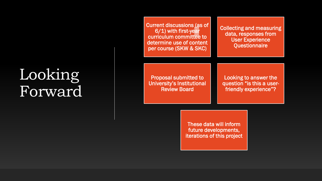# Looking Forward

Current discussions (as of 6/1) with first-year curriculum committee to determine use of content per course (SKW & SKC) Collecting and measuring data, responses from User Experience **Questionnaire** Proposal submitted to University's Institutional Review Board Looking to answer the question "is this a userfriendly experience"?

> These data will inform future developments, iterations of this project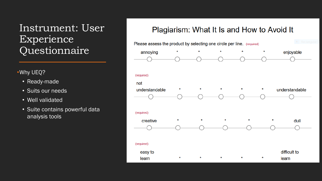### Instrument: User Experience Questionnaire

#### •Why UEQ?

- Ready-made
- Suits our needs
- Well validated
- Suite contains powerful data analysis tools

#### Plagiarism: What It Is and How to Avoid It

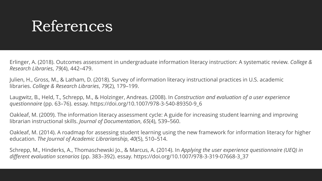## References

Erlinger, A. (2018). Outcomes assessment in undergraduate information literacy instruction: A systematic review. *College & Research Libraries*, *79*(4), 442–479.

Julien, H., Gross, M., & Latham, D. (2018). Survey of information literacy instructional practices in U.S. academic libraries. *College & Research Libraries*, *79*(2), 179–199.

Laugwitz, B., Held, T., Schrepp, M., & Holzinger, Andreas. (2008). In *Construction and evaluation of a user experience questionnaire* (pp. 63–76). essay. https://doi.org/10.1007/978-3-540-89350-9\_6

Oakleaf, M. (2009). The information literacy assessment cycle: A guide for increasing student learning and improving librarian instructional skills. *Journal of Documentation*, *65*(4), 539–560.

Oakleaf, M. (2014). A roadmap for assessing student learning using the new framework for information literacy for higher education. *The Journal of Academic Librarianship*, *40*(5), 510–514.

Schrepp, M., Hinderks, A., Thomaschewski Jo., & Marcus, A. (2014). In *Applying the user experience questionnaire (UEQ) in different evaluation scenarios* (pp. 383–392). essay. https://doi.org/10.1007/978-3-319-07668-3\_37